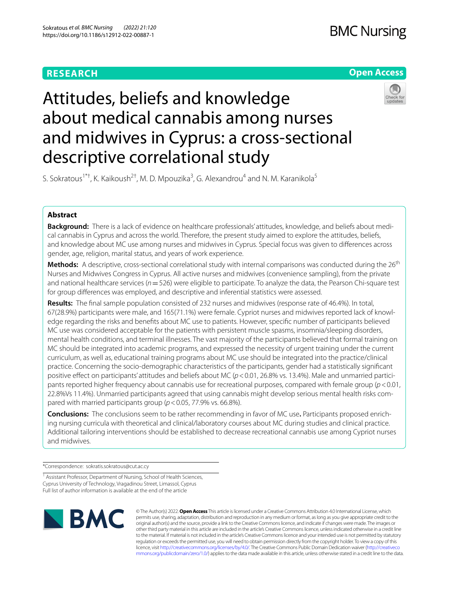# **RESEARCH**

## **Open Access**



# Attitudes, beliefs and knowledge about medical cannabis among nurses and midwives in Cyprus: a cross-sectional descriptive correlational study

S. Sokratous<sup>1\*†</sup>, K. Kaikoush<sup>2†</sup>, M. D. Mpouzika<sup>3</sup>, G. Alexandrou<sup>4</sup> and N. M. Karanikola<sup>5</sup>

## **Abstract**

**Background:** There is a lack of evidence on healthcare professionals' attitudes, knowledge, and beliefs about medical cannabis in Cyprus and across the world. Therefore, the present study aimed to explore the attitudes, beliefs, and knowledge about MC use among nurses and midwives in Cyprus. Special focus was given to diferences across gender, age, religion, marital status, and years of work experience.

**Methods:** A descriptive, cross-sectional correlational study with internal comparisons was conducted during the 26<sup>th</sup> Nurses and Midwives Congress in Cyprus. All active nurses and midwives (convenience sampling), from the private and national healthcare services (*n*=526) were eligible to participate. To analyze the data, the Pearson Chi-square test for group diferences was employed, and descriptive and inferential statistics were assessed.

**Results:** The fnal sample population consisted of 232 nurses and midwives (response rate of 46.4%). In total, 67(28.9%) participants were male, and 165(71.1%) were female. Cypriot nurses and midwives reported lack of knowledge regarding the risks and benefts about MC use to patients. However, specifc number of participants believed MC use was considered acceptable for the patients with persistent muscle spasms, insomnia/sleeping disorders, mental health conditions, and terminal illnesses. The vast majority of the participants believed that formal training on MC should be integrated into academic programs, and expressed the necessity of urgent training under the current curriculum, as well as, educational training programs about MC use should be integrated into the practice/clinical practice. Concerning the socio-demographic characteristics of the participants, gender had a statistically signifcant positive efect on participants' attitudes and beliefs about MC (*p*<0.01, 26.8% vs. 13.4%). Male and unmarried participants reported higher frequency about cannabis use for recreational purposes, compared with female group (*p*<0.01, 22.8%Vs 11.4%). Unmarried participants agreed that using cannabis might develop serious mental health risks compared with married participants group ( $p < 0.05$ , 77.9% vs. 66.8%).

**Conclusions:** The conclusions seem to be rather recommending in favor of MC use**.** Participants proposed enriching nursing curricula with theoretical and clinical/laboratory courses about MC during studies and clinical practice. Additional tailoring interventions should be established to decrease recreational cannabis use among Cypriot nurses and midwives.

\*Correspondence: sokratis.sokratous@cut.ac.cy

<sup>1</sup> Assistant Professor, Department of Nursing, School of Health Sciences, Cyprus University of Technology, Vragadinou Street, Limassol, Cyprus Full list of author information is available at the end of the article



© The Author(s) 2022. **Open Access** This article is licensed under a Creative Commons Attribution 4.0 International License, which permits use, sharing, adaptation, distribution and reproduction in any medium or format, as long as you give appropriate credit to the original author(s) and the source, provide a link to the Creative Commons licence, and indicate if changes were made. The images or other third party material in this article are included in the article's Creative Commons licence, unless indicated otherwise in a credit line to the material. If material is not included in the article's Creative Commons licence and your intended use is not permitted by statutory regulation or exceeds the permitted use, you will need to obtain permission directly from the copyright holder. To view a copy of this licence, visit [http://creativecommons.org/licenses/by/4.0/.](http://creativecommons.org/licenses/by/4.0/) The Creative Commons Public Domain Dedication waiver ([http://creativeco](http://creativecommons.org/publicdomain/zero/1.0/) [mmons.org/publicdomain/zero/1.0/](http://creativecommons.org/publicdomain/zero/1.0/)) applies to the data made available in this article, unless otherwise stated in a credit line to the data.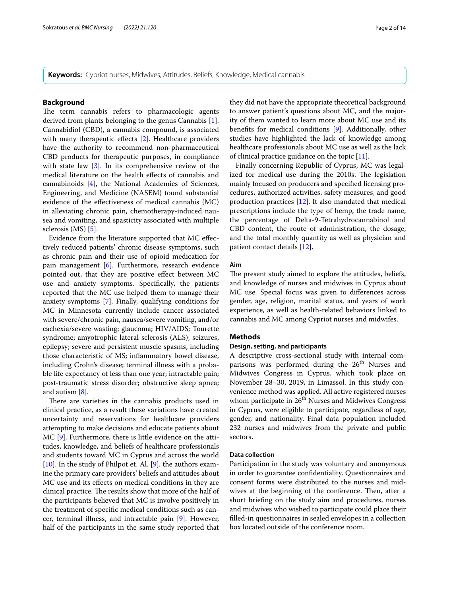**Keywords:** Cypriot nurses, Midwives, Attitudes, Beliefs, Knowledge, Medical cannabis

## **Background**

The term cannabis refers to pharmacologic agents derived from plants belonging to the genus Cannabis [\[1](#page-12-0)]. Cannabidiol (CBD), a cannabis compound, is associated with many therapeutic effects [\[2\]](#page-12-1). Healthcare providers have the authority to recommend non-pharmaceutical CBD products for therapeutic purposes, in compliance with state law [[3\]](#page-12-2). In its comprehensive review of the medical literature on the health efects of cannabis and cannabinoids [[4\]](#page-12-3), the National Academies of Sciences, Engineering, and Medicine (NASEM) found substantial evidence of the efectiveness of medical cannabis (MC) in alleviating chronic pain, chemotherapy-induced nausea and vomiting, and spasticity associated with multiple sclerosis (MS) [[5](#page-12-4)].

Evidence from the literature supported that MC efectively reduced patients' chronic disease symptoms, such as chronic pain and their use of opioid medication for pain management [[6](#page-12-5)]. Furthermore, research evidence pointed out, that they are positive efect between MC use and anxiety symptoms. Specifcally, the patients reported that the MC use helped them to manage their anxiety symptoms [[7\]](#page-12-6). Finally, qualifying conditions for MC in Minnesota currently include cancer associated with severe/chronic pain, nausea/severe vomiting, and/or cachexia/severe wasting; glaucoma; HIV/AIDS; Tourette syndrome; amyotrophic lateral sclerosis (ALS); seizures, epilepsy; severe and persistent muscle spasms, including those characteristic of MS; infammatory bowel disease, including Crohn's disease; terminal illness with a probable life expectancy of less than one year; intractable pain; post-traumatic stress disorder; obstructive sleep apnea; and autism [\[8](#page-12-7)].

There are varieties in the cannabis products used in clinical practice, as a result these variations have created uncertainty and reservations for healthcare providers attempting to make decisions and educate patients about MC [[9\]](#page-12-8). Furthermore, there is little evidence on the attitudes, knowledge, and beliefs of healthcare professionals and students toward MC in Cyprus and across the world [ $10$ ]. In the study of Philpot et. Al. [ $9$ ], the authors examine the primary care providers' beliefs and attitudes about MC use and its efects on medical conditions in they are clinical practice. The results show that more of the half of the participants believed that MC is involve positively in the treatment of specifc medical conditions such as cancer, terminal illness, and intractable pain [[9\]](#page-12-8). However, half of the participants in the same study reported that they did not have the appropriate theoretical background to answer patient's questions about MC, and the majority of them wanted to learn more about MC use and its benefts for medical conditions [\[9](#page-12-8)]. Additionally, other studies have highlighted the lack of knowledge among healthcare professionals about MC use as well as the lack of clinical practice guidance on the topic [\[11\]](#page-12-10).

Finally concerning Republic of Cyprus, MC was legalized for medical use during the 2010s. The legislation mainly focused on producers and specifed licensing procedures, authorized activities, safety measures, and good production practices  $[12]$  $[12]$ . It also mandated that medical prescriptions include the type of hemp, the trade name, the percentage of Delta-9-Tetrahydrocannabinol and CBD content, the route of administration, the dosage, and the total monthly quantity as well as physician and patient contact details [\[12](#page-12-11)].

#### **Aim**

The present study aimed to explore the attitudes, beliefs, and knowledge of nurses and midwives in Cyprus about MC use. Special focus was given to diferences across gender, age, religion, marital status, and years of work experience, as well as health-related behaviors linked to cannabis and MC among Cypriot nurses and midwifes.

## **Methods**

## **Design, setting, and participants**

A descriptive cross-sectional study with internal comparisons was performed during the 26<sup>th</sup> Nurses and Midwives Congress in Cyprus, which took place on November 28–30, 2019, in Limassol. In this study convenience method was applied. All active registered nurses whom participate in  $26<sup>th</sup>$  Nurses and Midwives Congress in Cyprus, were eligible to participate, regardless of age, gender, and nationality. Final data population included 232 nurses and midwives from the private and public sectors.

### **Data collection**

Participation in the study was voluntary and anonymous in order to guarantee confdentiality. Questionnaires and consent forms were distributed to the nurses and midwives at the beginning of the conference. Then, after a short briefng on the study aim and procedures, nurses and midwives who wished to participate could place their flled-in questionnaires in sealed envelopes in a collection box located outside of the conference room.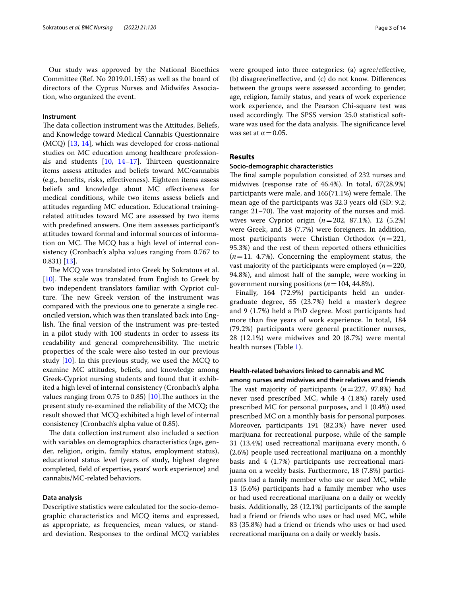## **Instrument**

The data collection instrument was the Attitudes, Beliefs, and Knowledge toward Medical Cannabis Questionnaire (MCQ) [[13,](#page-12-12) [14\]](#page-12-13), which was developed for cross-national studies on MC education among healthcare professionals and students  $[10, 14-17]$  $[10, 14-17]$  $[10, 14-17]$  $[10, 14-17]$ . Thirteen questionnaire items assess attitudes and beliefs toward MC/cannabis (e.g., benefts, risks, efectiveness). Eighteen items assess beliefs and knowledge about MC efectiveness for medical conditions, while two items assess beliefs and attitudes regarding MC education. Educational trainingrelated attitudes toward MC are assessed by two items with predefned answers. One item assesses participant's attitudes toward formal and informal sources of information on MC. The MCQ has a high level of internal consistency (Cronbach's alpha values ranging from 0.767 to 0.831) [\[13](#page-12-12)].

The MCQ was translated into Greek by Sokratous et al.  $[10]$  $[10]$ . The scale was translated from English to Greek by two independent translators familiar with Cypriot culture. The new Greek version of the instrument was compared with the previous one to generate a single reconciled version, which was then translated back into English. The final version of the instrument was pre-tested in a pilot study with 100 students in order to assess its readability and general comprehensibility. The metric properties of the scale were also tested in our previous study  $[10]$  $[10]$ . In this previous study, we used the MCQ to examine MC attitudes, beliefs, and knowledge among Greek-Cypriot nursing students and found that it exhibited a high level of internal consistency (Cronbach's alpha values ranging from 0.75 to 0.85) [ $10$ ]. The authors in the present study re-examined the reliability of the MCQ; the result showed that MCQ exhibited a high level of internal consistency (Cronbach's alpha value of 0.85).

The data collection instrument also included a section with variables on demographics characteristics (age, gender, religion, origin, family status, employment status), educational status level (years of study, highest degree completed, feld of expertise, years' work experience) and cannabis/MC-related behaviors.

## **Data analysis**

Descriptive statistics were calculated for the socio-demographic characteristics and MCQ items and expressed, as appropriate, as frequencies, mean values, or standard deviation. Responses to the ordinal MCQ variables were grouped into three categories: (a) agree/efective, (b) disagree/inefective, and (c) do not know. Diferences between the groups were assessed according to gender, age, religion, family status, and years of work experience work experience, and the Pearson Chi-square test was used accordingly. The SPSS version 25.0 statistical software was used for the data analysis. The significance level was set at  $\alpha$  = 0.05.

## **Results**

### **Socio‑demographic characteristics**

The final sample population consisted of 232 nurses and midwives (response rate of 46.4%). In total, 67(28.9%) participants were male, and  $165(71.1%)$  were female. The mean age of the participants was 32.3 years old (SD: 9.2; range:  $21-70$ ). The vast majority of the nurses and midwives were Cypriot origin (*n*=202, 87.1%), 12 (5.2%) were Greek, and 18 (7.7%) were foreigners. In addition, most participants were Christian Orthodox (*n*=221, 95.3%) and the rest of them reported others ethnicities  $(n=11. 4.7\%)$ . Concerning the employment status, the vast majority of the participants were employed (*n*=220, 94.8%), and almost half of the sample, were working in government nursing positions ( $n=104, 44.8\%$ ).

Finally, 164 (72.9%) participants held an undergraduate degree, 55 (23.7%) held a master's degree and 9 (1.7%) held a PhD degree. Most participants had more than fve years of work experience. In total, 184 (79.2%) participants were general practitioner nurses, 28 (12.1%) were midwives and 20 (8.7%) were mental health nurses (Table [1](#page-3-0)).

## **Health‑related behaviors linked to cannabis and MC**

**among nurses and midwives and their relatives and friends** The vast majority of participants  $(n=227, 97.8%)$  had never used prescribed MC, while 4 (1.8%) rarely used prescribed MC for personal purposes, and 1 (0.4%) used prescribed MC on a monthly basis for personal purposes. Moreover, participants 191 (82.3%) have never used marijuana for recreational purpose, while of the sample 31 (13.4%) used recreational marijuana every month, 6 (2.6%) people used recreational marijuana on a monthly basis and 4 (1.7%) participants use recreational marijuana on a weekly basis. Furthermore, 18 (7.8%) participants had a family member who use or used MC, while 13 (5.6%) participants had a family member who uses or had used recreational marijuana on a daily or weekly basis. Additionally, 28 (12.1%) participants of the sample had a friend or friends who uses or had used MC, while 83 (35.8%) had a friend or friends who uses or had used recreational marijuana on a daily or weekly basis.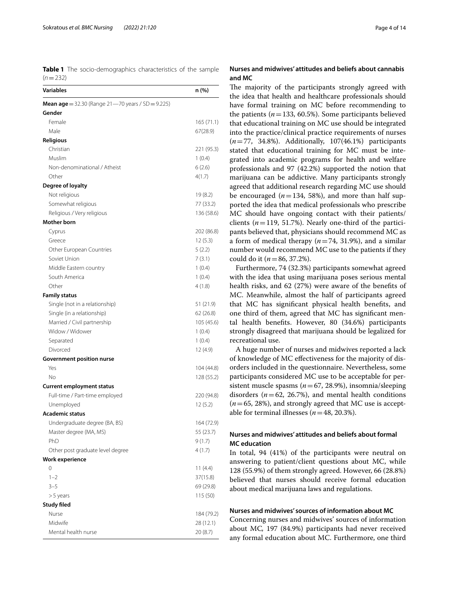<span id="page-3-0"></span>**Table 1** The socio-demographics characteristics of the sample  $(n=232)$ 

| <b>Variables</b>                                         | n (%)      |
|----------------------------------------------------------|------------|
| <b>Mean age</b> = 32.30 (Range 21-70 years / SD = 9.225) |            |
| Gender                                                   |            |
| Female                                                   | 165(71.1)  |
| Male                                                     | 67(28.9)   |
| <b>Religious</b>                                         |            |
| Christian                                                | 221 (95.3) |
| Muslim                                                   | 1(0.4)     |
| Non-denominational / Atheist                             | 6(2.6)     |
| Other                                                    | 4(1.7)     |
| Degree of loyalty                                        |            |
| Not religious                                            | 19 (8.2)   |
| Somewhat religious                                       | 77 (33.2)  |
| Religious / Very religious                               | 136 (58.6) |
| <b>Mother born</b>                                       |            |
| Cyprus                                                   | 202 (86.8) |
| Greece                                                   | 12(5.3)    |
| Other European Countries                                 | 5(2.2)     |
| Soviet Union                                             | 7(3.1)     |
| Middle Eastern country                                   | 1(0.4)     |
| South America                                            | 1(0.4)     |
| Other                                                    | 4 (1.8)    |
| <b>Family status</b>                                     |            |
| Single (not in a relationship)                           | 51 (21.9)  |
| Single (in a relationship)                               | 62 (26.8)  |
| Married / Civil partnership                              | 105 (45.6) |
| Widow / Widower                                          | 1(0.4)     |
| Separated                                                | 1(0.4)     |
| Divorced                                                 | 12 (4.9)   |
| <b>Government position nurse</b>                         |            |
| Yes                                                      | 104 (44.8) |
| No                                                       | 128 (55.2) |
| <b>Current employment status</b>                         |            |
| Full-time / Part-time employed                           | 220 (94.8) |
| Unemployed                                               | 12(5.2)    |
| <b>Academic status</b>                                   |            |
| Undergraduate degree (BA, BS)                            | 164 (72.9) |
| Master degree (MA, MS)                                   | 55 (23.7)  |
| PhD                                                      | 9(1.7)     |
| Other post graduate level degree                         | 4(1.7)     |
| <b>Work experience</b>                                   |            |
| 0                                                        | 11(4.4)    |
| $1 - 2$                                                  | 37(15.8)   |
| $3 - 5$                                                  | 69 (29.8)  |
| >5 years                                                 | 115 (50)   |
| <b>Study filed</b>                                       |            |
| Nurse                                                    | 184 (79.2) |
| Midwife                                                  | 28 (12.1)  |
| Mental health nurse                                      | 20 (8.7)   |

## **Nurses and midwives' attitudes and beliefs about cannabis and MC**

The majority of the participants strongly agreed with the idea that health and healthcare professionals should have formal training on MC before recommending to the patients  $(n=133, 60.5\%)$ . Some participants believed that educational training on MC use should be integrated into the practice/clinical practice requirements of nurses (*n*=77, 34.8%). Additionally, 107(46.1%) participants stated that educational training for MC must be integrated into academic programs for health and welfare professionals and 97 (42.2%) supported the notion that marijuana can be addictive. Many participants strongly agreed that additional research regarding MC use should be encouraged  $(n=134, 58%)$ , and more than half supported the idea that medical professionals who prescribe MC should have ongoing contact with their patients/ clients  $(n=119, 51.7\%)$ . Nearly one-third of the participants believed that, physicians should recommend MC as a form of medical therapy (*n*=74, 31.9%), and a similar number would recommend MC use to the patients if they could do it (*n*=86, 37.2%).

Furthermore, 74 (32.3%) participants somewhat agreed with the idea that using marijuana poses serious mental health risks, and 62 (27%) were aware of the benefts of MC. Meanwhile, almost the half of participants agreed that MC has signifcant physical health benefts, and one third of them, agreed that MC has signifcant mental health benefts. However, 80 (34.6%) participants strongly disagreed that marijuana should be legalized for recreational use.

A huge number of nurses and midwives reported a lack of knowledge of MC efectiveness for the majority of disorders included in the questionnaire. Nevertheless, some participants considered MC use to be acceptable for persistent muscle spasms (*n*=67, 28.9%), insomnia/sleeping disorders  $(n=62, 26.7%)$ , and mental health conditions  $(n=65, 28%)$ , and strongly agreed that MC use is acceptable for terminal illnesses  $(n=48, 20.3\%)$ .

## **Nurses and midwives' attitudes and beliefs about formal MC education**

In total, 94 (41%) of the participants were neutral on answering to patient/client questions about MC, while 128 (55.9%) of them strongly agreed. However, 66 (28.8%) believed that nurses should receive formal education about medical marijuana laws and regulations.

## **Nurses and midwives' sources of information about MC**

Concerning nurses and midwives' sources of information about MC*,* 197 (84.9%) participants had never received any formal education about MC. Furthermore, one third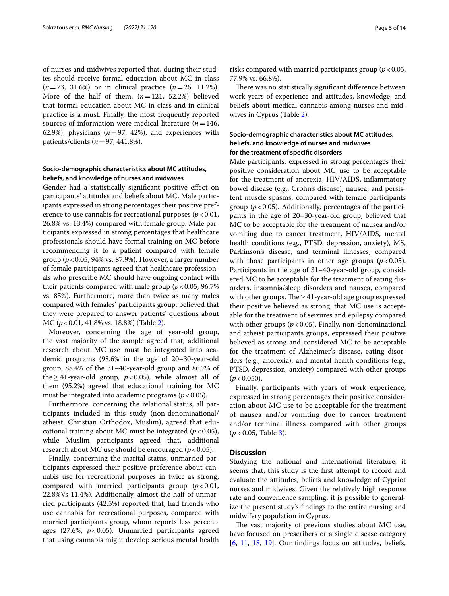of nurses and midwives reported that, during their studies should receive formal education about MC in class (*n*=73, 31.6%) or in clinical practice (*n*=26, 11.2%). More of the half of them, (*n*=121, 52.2%) believed that formal education about MC in class and in clinical practice is a must. Finally, the most frequently reported sources of information were medical literature  $(n=146,$ 62.9%), physicians  $(n=97, 42%)$ , and experiences with patients/clients (*n*=97, 441.8%).

## **Socio‑demographic characteristics about MC attitudes, beliefs, and knowledge of nurses and midwives**

Gender had a statistically signifcant positive efect on participants' attitudes and beliefs about MC. Male participants expressed in strong percentages their positive preference to use cannabis for recreational purposes ( $p < 0.01$ , 26.8% vs. 13.4%) compared with female group. Male participants expressed in strong percentages that healthcare professionals should have formal training on MC before recommending it to a patient compared with female group (*p*<0.05, 94% vs. 87.9%). However, a larger number of female participants agreed that healthcare professionals who prescribe MC should have ongoing contact with their patients compared with male group  $(p < 0.05, 96.7\%)$ vs. 85%). Furthermore, more than twice as many males compared with females' participants group, believed that they were prepared to answer patients' questions about MC (*p*<0.01, 41.8% vs. 18.8%) (Table [2](#page-5-0)).

Moreover, concerning the age of year-old group, the vast majority of the sample agreed that, additional research about MC use must be integrated into academic programs (98.6% in the age of 20–30-year-old group, 88.4% of the 31–40-year-old group and 86.7% of the≥41-year-old group,  $p$ <0.05), while almost all of them (95.2%) agreed that educational training for MC must be integrated into academic programs ( $p < 0.05$ ).

Furthermore, concerning the relational status, all participants included in this study (non-denominational/ atheist, Christian Orthodox, Muslim), agreed that educational training about MC must be integrated  $(p<0.05)$ , while Muslim participants agreed that, additional research about MC use should be encouraged (*p*<0.05).

Finally, concerning the marital status, unmarried participants expressed their positive preference about cannabis use for recreational purposes in twice as strong, compared with married participants group  $(p<0.01,$ 22.8%Vs 11.4%). Additionally, almost the half of unmarried participants (42.5%) reported that, had friends who use cannabis for recreational purposes, compared with married participants group, whom reports less percentages (27.6%, *p*<0.05). Unmarried participants agreed that using cannabis might develop serious mental health risks compared with married participants group (*p*<0.05, 77.9% vs. 66.8%).

There was no statistically significant difference between work years of experience and attitudes, knowledge, and beliefs about medical cannabis among nurses and midwives in Cyprus (Table [2\)](#page-5-0).

## **Socio‑demographic characteristics about MC attitudes, beliefs, and knowledge of nurses and midwives for the treatment of specifc disorders**

Male participants, expressed in strong percentages their positive consideration about MC use to be acceptable for the treatment of anorexia, HIV/AIDS, infammatory bowel disease (e.g., Crohn's disease), nausea, and persistent muscle spasms, compared with female participants group ( $p < 0.05$ ). Additionally, percentages of the participants in the age of 20–30-year-old group, believed that MC to be acceptable for the treatment of nausea and/or vomiting due to cancer treatment, HIV/AIDS, mental health conditions (e.g., PTSD, depression, anxiety), MS, Parkinson's disease, and terminal illnesses, compared with those participants in other age groups  $(p < 0.05)$ . Participants in the age of 31–40-year-old group, considered MC to be acceptable for the treatment of eating disorders, insomnia/sleep disorders and nausea, compared with other groups. The  $\geq$  41-year-old age group expressed their positive believed as strong, that MC use is acceptable for the treatment of seizures and epilepsy compared with other groups  $(p < 0.05)$ . Finally, non-denominational and atheist participants groups, expressed their positive believed as strong and considered MC to be acceptable for the treatment of Alzheimer's disease, eating disorders (e.g., anorexia), and mental health conditions (e.g., PTSD, depression, anxiety) compared with other groups  $(p < 0.050)$ .

Finally, participants with years of work experience, expressed in strong percentages their positive consideration about MC use to be acceptable for the treatment of nausea and/or vomiting due to cancer treatment and/or terminal illness compared with other groups (*p* < 0.05**,** Table [3\)](#page-8-0).

## **Discussion**

Studying the national and international literature, it seems that, this study is the frst attempt to record and evaluate the attitudes, beliefs and knowledge of Cypriot nurses and midwives. Given the relatively high response rate and convenience sampling, it is possible to generalize the present study's fndings to the entire nursing and midwifery population in Cyprus.

The vast majority of previous studies about MC use, have focused on prescribers or a single disease category [[6,](#page-12-5) [11,](#page-12-10) [18,](#page-12-15) [19\]](#page-12-16). Our fndings focus on attitudes, beliefs,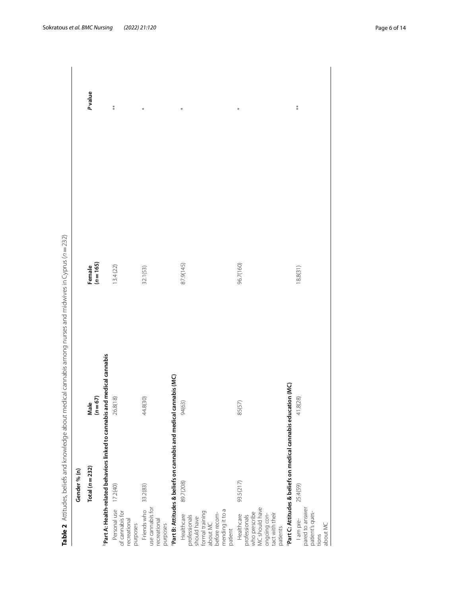<span id="page-5-0"></span>

|                                                                                                                                       | Table 2 Attitudes, beliefs and knowledge about medical cannabis among nurses and midwives in Cyprus (n = 232) |                     |            |
|---------------------------------------------------------------------------------------------------------------------------------------|---------------------------------------------------------------------------------------------------------------|---------------------|------------|
| Gender % (n)                                                                                                                          |                                                                                                               |                     |            |
| Total $(n=232)$                                                                                                                       | Male<br>$(n=67)$                                                                                              | Female<br>$(n=165)$ | Pvalue     |
|                                                                                                                                       | <sup>b</sup> Part A: Health-related behaviors linked to cannabis and medical cannabis                         |                     |            |
| 17.2(40)<br>Personal use<br>of cannabis for<br>recreational<br>purposes                                                               | 26.8(18)                                                                                                      | 13.4(22)            | $\ddot{*}$ |
| 33.2(83)<br>use cannabis for<br>Friends who<br>recreational<br>purposes                                                               | 44.8(30)                                                                                                      | 32.1(53)            | $\ast$     |
| <sup>a</sup> Part B: Attitudes & beliefs on cannabis and medical cannabis (MC)                                                        |                                                                                                               |                     |            |
| 89.7(208)<br>mending it to a<br>formal training<br>before recom-<br>Healthcare<br>professionals<br>should have<br>about MC<br>patient | 94(63)                                                                                                        | 87.9(145)           | *          |
| 93.5(217)<br>who prescribe<br>MC should have<br>ongoing con-<br>tact with their<br>Healthcare<br>professionals<br>patients            | 85(57)                                                                                                        | 96.7(160)           | *          |
| <sup>a</sup> Part C: Attitudes & beliefs on medical cannabis education (MC)                                                           |                                                                                                               |                     |            |
| 25.4(59)<br>pared to answer<br>patient's ques-<br>lampre-<br>about MC<br>tions                                                        | 41.8(28)                                                                                                      | 18.8(31)            | $*$        |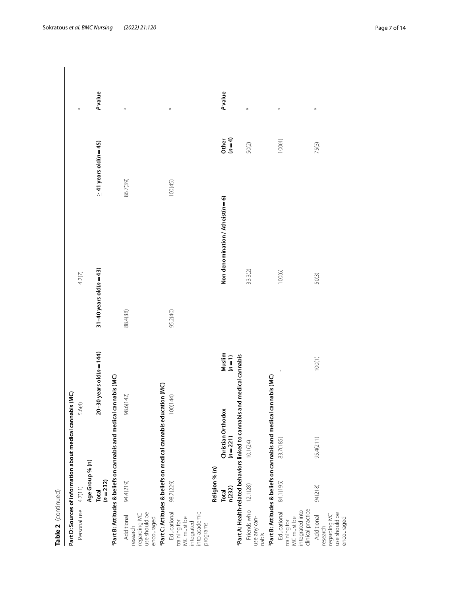| ŕ |
|---|
|   |
|   |
|   |
|   |
|   |
|   |
|   |
|   |
| t |
|   |
| ŗ |
|   |
|   |
|   |
|   |
|   |

| Table 2 (continued)                                                                  |                    |                                                                                |                                                                          |                                   |                             |        |
|--------------------------------------------------------------------------------------|--------------------|--------------------------------------------------------------------------------|--------------------------------------------------------------------------|-----------------------------------|-----------------------------|--------|
|                                                                                      |                    | Part D: Sources of information about medical cannabis (MC)                     |                                                                          |                                   |                             |        |
| Personal use 4.7(11)                                                                 |                    |                                                                                | 5.6(4)                                                                   | 4.2(7)                            |                             | *      |
|                                                                                      | Age Group % (n)    |                                                                                |                                                                          |                                   |                             |        |
|                                                                                      | Total<br>$(n=232)$ |                                                                                | $20 - 30$ years old( $n = 144$ )                                         | 31 $-40$ years old ( $n = 43$ )   | $\geq$ 41 years old(n = 45) | Pvalue |
|                                                                                      |                    | Part B: Attitudes & beliefs on cannabis and medical ca                         | nnabis (MC)                                                              |                                   |                             |        |
| use should be<br>encouraged<br>regarding MC<br>Additional<br>esearch                 | 94.4(219)          |                                                                                | 98.6(142)                                                                | 88.4(38)                          | 86.7(39)                    | $\ast$ |
|                                                                                      |                    | Part C: Attitudes & beliefs on medical cannabis education (MC)                 |                                                                          |                                   |                             |        |
| Educational<br>into academic<br>training for<br>MC must be<br>integrated<br>programs | 98.7(229)          |                                                                                | 100(144)                                                                 | 95.2(40)                          | 100(45)                     | $\ast$ |
|                                                                                      | Religion % (n)     |                                                                                |                                                                          |                                   |                             |        |
|                                                                                      | n(232)<br>Total    | Christian Orthodox<br>$(n=221)$                                                | $\begin{array}{c} \mathsf{Muslim} \\ (n = 1) \end{array}$                | Non denomination / Atheist(n = 6) | Other<br>$(n=4)$            | Pvalue |
|                                                                                      |                    |                                                                                | Part A: Health-related behaviors linked to cannabis and medical cannabis |                                   |                             |        |
| Friends who<br>use any can-<br>nabis                                                 | 12.1(28)           | 10.1(24)                                                                       |                                                                          | 33.3(2)                           | 50(2)                       | $\ast$ |
|                                                                                      |                    | <sup>ª</sup> Part B: Attitudes & beliefs on cannabis and medical cannabis (MC) |                                                                          |                                   |                             |        |
| clinical practice<br>integrated into<br>Educational<br>training for<br>MC must be    | 84.1(195)          | 83.7(185)                                                                      |                                                                          | 100(6)                            | 100(4)                      | *      |
| use should be<br>regarding MC<br>Additional<br>encouraged<br>research                | 94(218)            | 95.4(211)                                                                      | 100(1)                                                                   | 50(3)                             | 75(3)                       | *      |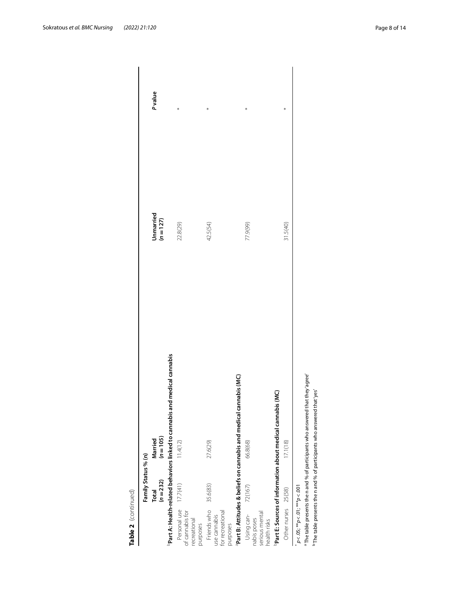|                                                                      | Family Status % (n)       |                                                                                       |                          |        |
|----------------------------------------------------------------------|---------------------------|---------------------------------------------------------------------------------------|--------------------------|--------|
|                                                                      | $(n=232)$<br><b>Total</b> | $(n = 105)$<br>Married                                                                | Unmarried<br>$(n = 127)$ | Pvalue |
|                                                                      |                           | <sup>b</sup> Part A: Health-related behaviors linked to cannabis and medical cannabis |                          |        |
| Personal use 17.7(41)<br>of cannabis for<br>recreational<br>purposes |                           | 11.4(12)                                                                              | 22.8(29)                 |        |
| Friends who<br>for recreational<br>use cannabis<br>purposes          | 35.6(83)                  | 27.6(29)                                                                              | 42.5(54)                 | ∗      |
|                                                                      |                           | <sup>a</sup> Part B: Attitudes & beliefs on cannabis and medical cannabis (MC)        |                          |        |
| serious mental<br>Using can-<br>nabis poses<br>health risks          | 72(167)                   | 66.8(68)                                                                              | 77.9(99)                 | *      |
|                                                                      |                           | Š<br>Part E: Sources of information about medical cannabis                            |                          |        |
| Other nurses 25(58)                                                  |                           | 17.1(18)                                                                              | 31.5(40)                 |        |
| $p < 0.05$ ; ** $p < 0.01$ ; *** $p < 0.001$                         |                           |                                                                                       |                          |        |

a The table presents the n and % of participants who answered that they 'agree'  $\overline{b}$  The table presents the n and % of participants who answered that 'yes'

<sup>a</sup> The table presents the n and % of participants who answered that they'agree' <sup>b</sup> The table presents the n and % of participants who answered that 'yes'

**Table 2** (continued)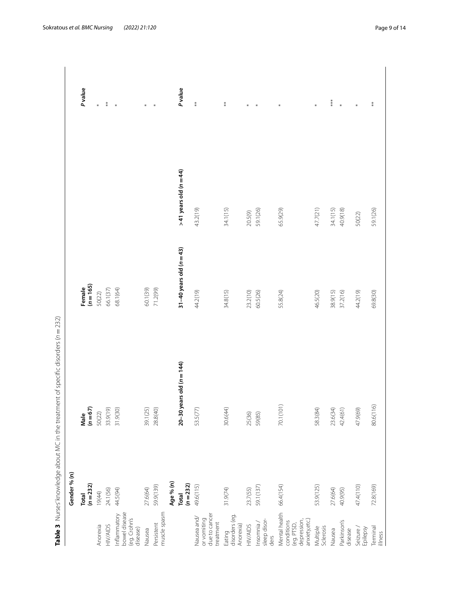|                                                                           |                    | Table 3 Nurses' knowledge about MC in the treatment of specific disorders (n = 232) |                            |                          |                  |
|---------------------------------------------------------------------------|--------------------|-------------------------------------------------------------------------------------|----------------------------|--------------------------|------------------|
|                                                                           | Gender % (n)       |                                                                                     |                            |                          |                  |
|                                                                           | $(n=232)$<br>Total | $(n = 67)$<br>Male                                                                  | Female<br>$(n=165)$        |                          | <b>P</b> value   |
| Anorexia                                                                  | 19(44)             | 50(22)                                                                              | 50(22)                     |                          | $\ast$           |
| <b>HIV/AIDS</b>                                                           | 24.1(56)           | 33.9(19)                                                                            | 66.1(37)                   |                          | $\ast\atop\ast$  |
| bowel disease<br>(eg. Crohn's<br>Inflammatory<br>disease)                 | 44.5(94)           | 31.9(30)                                                                            | 68.1(64)                   |                          | $\ast$           |
| Nausea                                                                    | 27.6(64)           | 39.1(25)                                                                            | 60.1(39)                   |                          | $\ast$           |
| muscle spasm<br>Persistent                                                | 59.9(139)          | 28.8(40)                                                                            | 71.2(99)                   |                          | $\ast$           |
|                                                                           | Age % (n)          |                                                                                     |                            |                          |                  |
|                                                                           | $(n=232)$<br>Total | $20 - 30$ years old $(n = 144)$                                                     | 31-40 years old ( $n=43$ ) | $>41$ years old (n = 44) | Pvalue           |
| due to cancer<br>Nausea and/<br>or vomiting<br>treatment                  | 49.6(115)          | 53.5(77)                                                                            | 44.2(19)                   | 43.2(19)                 | $\ast\ast$       |
| disorders (eg.<br>Anorexia)<br>Eating                                     | 31.9(74)           | 30.6(44)                                                                            | 34.8(15)                   | 34.1(15)                 | $\ast\ast$       |
| <b>HIV/AIDS</b>                                                           | 23.7(55)           | 25(36)                                                                              | 23.2(10)                   | 20.5(9)                  | $\ast$           |
| sleep disor-<br>Insomnia/<br>ders                                         | 59.1(137)          | 59(85)                                                                              | 60.5(26)                   | 59.1(26)                 | $\ast$           |
| Mental health<br>anxiety,etc.)<br>depression,<br>conditions<br>(eg. PTSD, | 66.4(154)          | 70.1(101)                                                                           | 55.8(24)                   | 65.9(29)                 | $\ast$           |
| Multiple<br>Sclerosis                                                     | 53.9(125)          | 58.3(84)                                                                            | 46.5(20)                   | 47.7(21)                 | $\ast$           |
| Nausea                                                                    | 27.6(64)           | 23.6(34)                                                                            | 38.9(15)                   | 34.1(15)                 | $***$            |
| Parkinson's<br>disease                                                    | 40.9(95)           | 42.4(61)                                                                            | 37.2(16)                   | 40.9(18)                 | $\ast$           |
| Seizure /<br>Epilepsy                                                     | 47.4(110)          | 47.9(69)                                                                            | 44.2(19)                   | 50(22)                   | $\ast$           |
| Terminal<br>illness                                                       | 72.8(169)          | 80.6(116)                                                                           | 69.8(30)                   | 59.1(26)                 | $^{\ast}_{\ast}$ |

<span id="page-8-0"></span>Table 3 Nurses' knowledge about MC in the treatment of specific disorders (n = 232)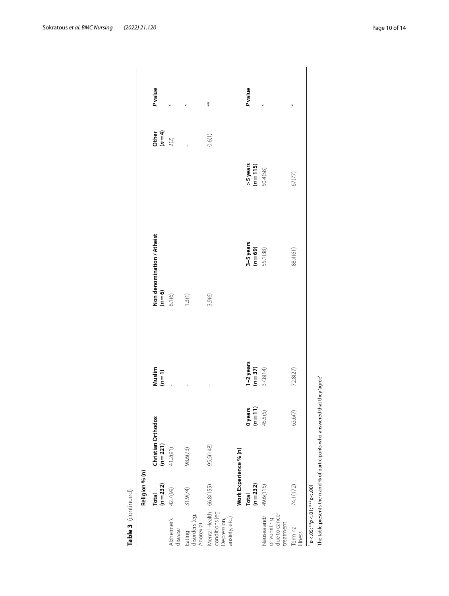|                                                                             | Religion % (n)        |                                 |                                                         |                                         |                              |                |
|-----------------------------------------------------------------------------|-----------------------|---------------------------------|---------------------------------------------------------|-----------------------------------------|------------------------------|----------------|
|                                                                             | $(n=232)$<br>Total    | Christian Orthodox<br>$(n=221)$ | $\begin{array}{c} \mathsf{Muslim} \\ (n=1) \end{array}$ | Non denomination / Atheist<br>$(n = 6)$ | Other<br>$(n=4)$<br>$(2)$    | <b>P</b> value |
| Alzheimer's<br>disease                                                      | 42.7(99)              | 41.2(91)                        |                                                         | 6.1(6)                                  |                              | *              |
| Eating<br>disorders (eg.<br>Anorexia)                                       | 31.9(74)              | 98.6(73)                        |                                                         | 1.3(1)                                  |                              | *              |
| Mental Health 66.8(155)<br>conditions (eg.<br>anxiety, etc.)<br>Depression, |                       | 95.5(148)                       |                                                         | 3.9(6)                                  | 0.6(1)                       | $**$           |
|                                                                             | Work Experience % (n) |                                 |                                                         |                                         |                              |                |
|                                                                             | $(n=232)$<br>Total    | $0$ years<br>$(n=11)$           | $1-2$ years<br>$(n=37)$                                 | $3-5$ years<br>$(n=69)$                 | $>$ 5 years<br>( $n = 115$ ) | Pvalue         |
| due to cancer<br>Nausea and/<br>or vomiting<br>treatment                    | 49.6(115)             | 45.5(5)                         | 37.8(14)                                                | 55.1(38)                                | 50.4(58)                     |                |
| Terminal<br>llness                                                          | 74.1(172)             | 63.6(7)                         | 72.8(27)                                                | 88.4(61)                                | 67(77)                       | *              |
| $p < .05;$ ** $p < .01;$ *** $p < .001$                                     |                       |                                 |                                                         |                                         |                              |                |

**Table 3**(continued) The table presents the n and % of participants who answered that they 'agree'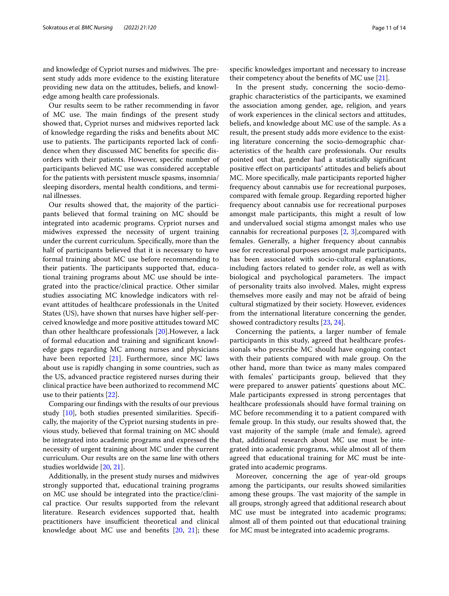and knowledge of Cypriot nurses and midwives. The present study adds more evidence to the existing literature providing new data on the attitudes, beliefs, and knowledge among health care professionals.

Our results seem to be rather recommending in favor of MC use. The main findings of the present study showed that, Cypriot nurses and midwives reported lack of knowledge regarding the risks and benefts about MC use to patients. The participants reported lack of confidence when they discussed MC benefts for specifc disorders with their patients. However, specifc number of participants believed MC use was considered acceptable for the patients with persistent muscle spasms, insomnia/ sleeping disorders, mental health conditions, and terminal illnesses.

Our results showed that, the majority of the participants believed that formal training on MC should be integrated into academic programs. Cypriot nurses and midwives expressed the necessity of urgent training under the current curriculum. Specifcally, more than the half of participants believed that it is necessary to have formal training about MC use before recommending to their patients. The participants supported that, educational training programs about MC use should be integrated into the practice/clinical practice. Other similar studies associating MC knowledge indicators with relevant attitudes of healthcare professionals in the United States (US), have shown that nurses have higher self-perceived knowledge and more positive attitudes toward MC than other healthcare professionals [\[20](#page-12-17)].However, a lack of formal education and training and signifcant knowledge gaps regarding MC among nurses and physicians have been reported  $[21]$  $[21]$ . Furthermore, since MC laws about use is rapidly changing in some countries, such as the US, advanced practice registered nurses during their clinical practice have been authorized to recommend MC use to their patients [\[22\]](#page-12-19).

Comparing our fndings with the results of our previous study [\[10](#page-12-9)], both studies presented similarities. Specifcally, the majority of the Cypriot nursing students in previous study, believed that formal training on MC should be integrated into academic programs and expressed the necessity of urgent training about MC under the current curriculum. Our results are on the same line with others studies worldwide [\[20,](#page-12-17) [21](#page-12-18)].

Additionally, in the present study nurses and midwives strongly supported that, educational training programs on MC use should be integrated into the practice/clinical practice. Our results supported from the relevant literature. Research evidences supported that, health practitioners have insufficient theoretical and clinical knowledge about MC use and benefits  $[20, 21]$  $[20, 21]$  $[20, 21]$  $[20, 21]$ ; these specifc knowledges important and necessary to increase their competency about the benefts of MC use [[21\]](#page-12-18).

In the present study, concerning the socio-demographic characteristics of the participants, we examined the association among gender, age, religion, and years of work experiences in the clinical sectors and attitudes, beliefs, and knowledge about MC use of the sample. As a result, the present study adds more evidence to the existing literature concerning the socio-demographic characteristics of the health care professionals. Our results pointed out that, gender had a statistically signifcant positive efect on participants' attitudes and beliefs about MC. More specifcally, male participants reported higher frequency about cannabis use for recreational purposes, compared with female group. Regarding reported higher frequency about cannabis use for recreational purposes amongst male participants, this might a result of low and undervalued social stigma amongst males who use cannabis for recreational purposes [\[2](#page-12-1), [3\]](#page-12-2),compared with females. Generally, a higher frequency about cannabis use for recreational purposes amongst male participants, has been associated with socio-cultural explanations, including factors related to gender role, as well as with biological and psychological parameters. The impact of personality traits also involved. Males, might express themselves more easily and may not be afraid of being cultural stigmatized by their society. However, evidences from the international literature concerning the gender, showed contradictory results [[23](#page-13-0), [24\]](#page-13-1).

Concerning the patients, a larger number of female participants in this study, agreed that healthcare professionals who prescribe MC should have ongoing contact with their patients compared with male group. On the other hand, more than twice as many males compared with females' participants group, believed that they were prepared to answer patients' questions about MC. Male participants expressed in strong percentages that healthcare professionals should have formal training on MC before recommending it to a patient compared with female group. In this study, our results showed that, the vast majority of the sample (male and female), agreed that, additional research about MC use must be integrated into academic programs, while almost all of them agreed that educational training for MC must be integrated into academic programs.

Moreover, concerning the age of year-old groups among the participants, our results showed similarities among these groups. The vast majority of the sample in all groups, strongly agreed that additional research about MC use must be integrated into academic programs; almost all of them pointed out that educational training for MC must be integrated into academic programs.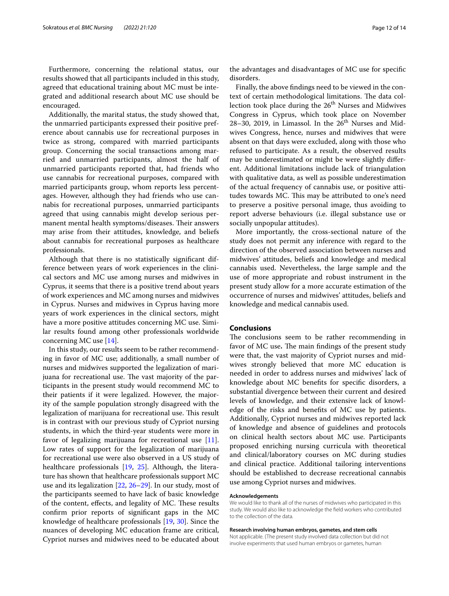Furthermore, concerning the relational status, our results showed that all participants included in this study, agreed that educational training about MC must be integrated and additional research about MC use should be encouraged.

Additionally, the marital status, the study showed that, the unmarried participants expressed their positive preference about cannabis use for recreational purposes in twice as strong, compared with married participants group. Concerning the social transactions among married and unmarried participants, almost the half of unmarried participants reported that, had friends who use cannabis for recreational purposes, compared with married participants group, whom reports less percentages. However, although they had friends who use cannabis for recreational purposes, unmarried participants agreed that using cannabis might develop serious permanent mental health symptoms/diseases. Their answers may arise from their attitudes, knowledge, and beliefs about cannabis for recreational purposes as healthcare professionals.

Although that there is no statistically signifcant difference between years of work experiences in the clinical sectors and MC use among nurses and midwives in Cyprus, it seems that there is a positive trend about years of work experiences and MC among nurses and midwives in Cyprus. Nurses and midwives in Cyprus having more years of work experiences in the clinical sectors, might have a more positive attitudes concerning MC use. Similar results found among other professionals worldwide concerning MC use [\[14](#page-12-13)].

In this study, our results seem to be rather recommending in favor of MC use; additionally, a small number of nurses and midwives supported the legalization of marijuana for recreational use. The vast majority of the participants in the present study would recommend MC to their patients if it were legalized. However, the majority of the sample population strongly disagreed with the legalization of marijuana for recreational use. This result is in contrast with our previous study of Cypriot nursing students, in which the third-year students were more in favor of legalizing marijuana for recreational use [\[11](#page-12-10)]. Low rates of support for the legalization of marijuana for recreational use were also observed in a US study of healthcare professionals [\[19](#page-12-16), [25](#page-13-2)]. Although, the literature has shown that healthcare professionals support MC use and its legalization [\[22,](#page-12-19) [26–](#page-13-3)[29](#page-13-4)]. In our study, most of the participants seemed to have lack of basic knowledge of the content, effects, and legality of MC. These results confrm prior reports of signifcant gaps in the MC knowledge of healthcare professionals [[19](#page-12-16), [30](#page-13-5)]. Since the nuances of developing MC education frame are critical, Cypriot nurses and midwives need to be educated about

the advantages and disadvantages of MC use for specifc disorders.

Finally, the above fndings need to be viewed in the context of certain methodological limitations. The data collection took place during the  $26<sup>th</sup>$  Nurses and Midwives Congress in Cyprus, which took place on November  $28-30$ ,  $2019$ , in Limassol. In the  $26<sup>th</sup>$  Nurses and Midwives Congress, hence, nurses and midwives that were absent on that days were excluded, along with those who refused to participate. As a result, the observed results may be underestimated or might be were slightly diferent. Additional limitations include lack of triangulation with qualitative data, as well as possible underestimation of the actual frequency of cannabis use, or positive attitudes towards MC. This may be attributed to one's need to preserve a positive personal image, thus avoiding to report adverse behaviours (i.e. illegal substance use or socially unpopular attitudes).

More importantly, the cross-sectional nature of the study does not permit any inference with regard to the direction of the observed association between nurses and midwives' attitudes, beliefs and knowledge and medical cannabis used. Nevertheless, the large sample and the use of more appropriate and robust instrument in the present study allow for a more accurate estimation of the occurrence of nurses and midwives' attitudes, beliefs and knowledge and medical cannabis used.

## **Conclusions**

The conclusions seem to be rather recommending in favor of MC use. The main findings of the present study were that, the vast majority of Cypriot nurses and midwives strongly believed that more MC education is needed in order to address nurses and midwives' lack of knowledge about MC benefts for specifc disorders, a substantial divergence between their current and desired levels of knowledge, and their extensive lack of knowledge of the risks and benefts of MC use by patients. Additionally, Cypriot nurses and midwives reported lack of knowledge and absence of guidelines and protocols on clinical health sectors about MC use. Participants proposed enriching nursing curricula with theoretical and clinical/laboratory courses on MC during studies and clinical practice. Additional tailoring interventions should be established to decrease recreational cannabis use among Cypriot nurses and midwives.

#### **Acknowledgements**

We would like to thank all of the nurses of midwives who participated in this study. We would also like to acknowledge the feld workers who contributed to the collection of the data.

**Research involving human embryos, gametes, and stem cells**

Not applicable. (The present study involved data collection but did not involve experiments that used human embryos or gametes, human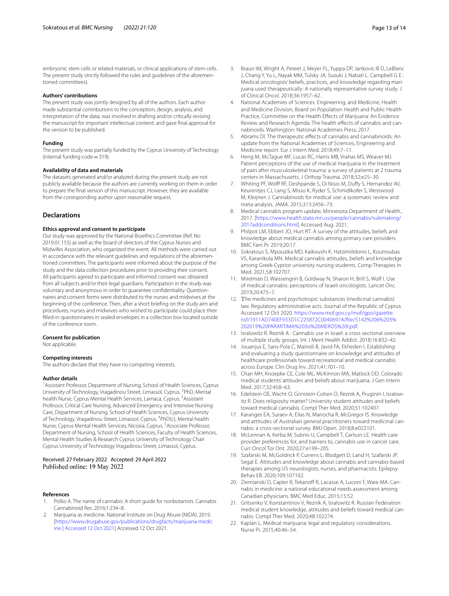#### **Authors' contributions**

The present study was jointly designed by all of the authors. Each author made substantial contributions to the conception, design, analysis, and interpretation of the data; was involved in drafting and/or critically revising the manuscript for important intellectual content; and gave fnal approval for the version to be published.

#### **Funding**

The present study was partially funded by the Cyprus University of Technology (internal funding code=319).

#### **Availability of data and materials**

The datasets generated and/or analyzed during the present study are not publicly available because the authors are currently working on them in order to prepare the fnal version of this manuscript. However, they are available from the corresponding author upon reasonable request.

## **Declarations**

#### **Ethics approval and consent to participate**

Our study was approved by the National Bioethics Committee (Ref. No 2019.01.155) as well as the board of directors of the Cyprus Nurses and Midwifes Association, who organized the event. All methods were carried out in accordance with the relevant guidelines and regulations of the aforementioned committees. The participants were informed about the purpose of the study and the data collection procedures prior to providing their consent. All participants agreed to participate and informed consent was obtained from all subjects and/or their legal guardians. Participation in the study was voluntary and anonymous in order to guarantee confdentiality. Questionnaires and consent forms were distributed to the nurses and midwives at the beginning of the conference. Then, after a short briefng on the study aim and procedures, nurses and midwives who wished to participate could place their flled-in questionnaires in sealed envelopes in a collection box located outside of the conference room.

#### **Consent for publication**

Not applicable.

#### **Competing interests**

The authors declare that they have no competing interests.

#### **Author details**

<sup>1</sup> Assistant Professor, Department of Nursing, School of Health Sciences, Cyprus University of Technology, Vragadinou Street, Limassol, Cyprus. <sup>2</sup>PhD, Mental health Nurse, Cyprus Mental Health Services, Larnaca, Cyprus. <sup>3</sup>Assistant Professor, Critical Care Nursing, Advanced Emergency and Intensive Nursing Care, Department of Nursing, School of Health Sciences, Cyprus University of Technology, Vragadinou Street, Limassol, Cyprus. <sup>4</sup>PhD(c), Mental health Nurse, Cyprus Mental Health Services, Nicosia, Cyprus. <sup>5</sup> Associate Professor, Department of Nursing, School of Health Sciences, Faculty of Health Sciences, Mental Health Studies & Research Cyprus University of Technology Chair Cyprus University of Technology Vragadinou Street, Limassol, Cyprus.

Received: 27 February 2022 Accepted: 29 April 2022 Published online: 19 May 2022

#### **References**

- <span id="page-12-0"></span>1. Pollio A. The name of cannabis: A short guide for nonbotanists. Cannabis Cannabinoid Res. 2016;1:234–8.
- <span id="page-12-1"></span>2. Marijuana as medicine. National Institute on Drug Abuse (NIDA). 2019. [[https://www.drugabuse.gov/publications/drugfacts/marijuana-medic](https://www.drugabuse.gov/publications/drugfacts/marijuana-medicine) [ine \] Accessed 12 Oct 2021\]](https://www.drugabuse.gov/publications/drugfacts/marijuana-medicine) Accessed 12 Oct 2021.
- <span id="page-12-2"></span>3. Braun IM, Wright A, Peteet J, Meyer FL, Yuppa DP, Jankovic-B D, LeBlanc J, Chang Y, Yu L, Nayak MM, Tulsky JA, Suzuki J, Nabati L. Campbell G E : Medical oncologists' beliefs, practices, and knowledge regarding marijuana used therapeutically: A nationally representative survey study. J of Clinical Oncol. 2018;36:1957–62.
- <span id="page-12-3"></span>4. National Academies of Sciences. Engineering, and Medicine, Health and Medicine Division, Board on Population Health and Public Health Practice, Committee on the Health Efects of Marijuana: An Evidence Review and Research Agenda: The health effects of cannabis and cannabinoids. Washington: National Academies Press; 2017.
- <span id="page-12-4"></span>5. Abrams DI. The therapeutic efects of cannabis and cannabinoids: An update from the National Academies of Sciences, Engineering and Medicine report. Eur J Intern Med. 2018;49:7–11.
- <span id="page-12-5"></span>6. Heng M, McTague MF, Lucas RC, Harris MB, Vrahas MS, Weaver MJ. Patient perceptions of the use of medical marijuana in the treatment of pain after musculoskeletal trauma: a survey of patients at 2 trauma centers in Massachusetts. J Orthop Trauma. 2018;32:e25–30.
- <span id="page-12-6"></span>7. Whiting PF, Wolff RF, Deshpande S, Di Nisio M, Duffy S, Hernandez AV, Keurentjes CJ, Lang S, Misso K, Ryder S, Schmidlkofer S, Westwood M, Kleijnen J. Cannabinoids for medical use: a systematic review and meta-analysis. JAMA. 2015;313:2456–73.
- <span id="page-12-7"></span>8. Medical cannabis program update, Minnesota Department of Health., 2017. [[https://www.health.state.mn.us/people/cannabis/rulemaking/](https://www.health.state.mn.us/people/cannabis/rulemaking/2017addconditions.html) [2017addconditions.html](https://www.health.state.mn.us/people/cannabis/rulemaking/2017addconditions.html)] Accessed Aug. 2021.
- <span id="page-12-8"></span>9. Philpot LM, Ebbert JO, Hurt RT. A survey of the attitudes, beliefs and knowledge about medical cannabis among primary care providers. BMC Fam Pr. 2019;20:17.
- <span id="page-12-9"></span>10. Sokratous S, Mpouzika MD, Kaikoushi K, Hatzimilidonis L, Koutroubas VS, Karanikola MN. Medical cannabis attitudes, beliefs and knowledge among Greek-Cypriot university nursing students. Comp Therapies in Med. 2021;58:102707.
- <span id="page-12-10"></span>11. Mirelman D, Waissengrin B, Goldway N, Sharon H, Brill S, Wolf I. Use of medical cannabis: perceptions of Israeli oncologists. Lancet Onc. 2019;20:475–7.
- <span id="page-12-11"></span>12. The medicines and psychotropic substances (medicinal cannabis) law. Regulatory administrative acts. Journal of the Republic of Cyprus. Accessed 12 Oct 2020. [https://www.mof.gov.cy/mof/gpo/gazette.](https://www.mof.gov.cy/mof/gpo/gazette.nsf/1911AD740EF933D1C225872C0040697A/$file/5142%206%203%202019%20PARARTIMA%203o%20MEROS%20I.pdf) [nsf/1911AD740EF933D1C225872C0040697A/fle/5142%206%203%](https://www.mof.gov.cy/mof/gpo/gazette.nsf/1911AD740EF933D1C225872C0040697A/$file/5142%206%203%202019%20PARARTIMA%203o%20MEROS%20I.pdf) [202019%20PARARTIMA%203o%20MEROS%20I.pdf](https://www.mof.gov.cy/mof/gpo/gazette.nsf/1911AD740EF933D1C225872C0040697A/$file/5142%206%203%202019%20PARARTIMA%203o%20MEROS%20I.pdf).
- <span id="page-12-12"></span>13. Isralowitz R. Reznik A : Cannabis use in Israel: a cross sectional overview of multiple study groups. Int J Ment Health Addict. 2018;16:832–42.
- <span id="page-12-13"></span>14. Jouanjus E, Sans-Pola C, Mainoli B, Javid FA, Ekheden I. Establishing and evaluating a study questionnaire on knowledge and attitudes of healthcare professionals toward recreational and medical cannabis across Europe. Clin Drug Inv. 2021;41:701–10.
- 15. Chan MH, Knoepke CE, Cole ML, McKinnon MA, Matlock DD. Colorado medical students' attitudes and beliefs about marijuana. J Gen Intern Med. 2017;32:458–63.
- 16. Edelstein OE, Wacht O, Grinstein-Cohen O, Reznik A, Pruginin I, Isralowitz R. Does religiosity matter? University student attitudes and beliefs toward medical cannabis. Compl Ther Med. 2020;51:102407.
- <span id="page-12-14"></span>17. Karanges EA, Suraev A, Elias N, Manocha R, McGregor IS. Knowledge and attitudes of Australian general practitioners toward medicinal cannabis: a cross-sectional survey. BMJ Open. 2018;8:e022101.
- <span id="page-12-15"></span>18. McLennan A, Kerba M, Subnis U, Campbell T, Carlson LE. Health care provider preferences for, and barriers to, cannabis use in cancer care. Curr Oncol Tor Ont. 2020;27:e199–205.
- <span id="page-12-16"></span>19. Szafarski M, McGoldrick P, Currens L, Blodgett D, Land H, Szafarski JP, Segal E. Attitudes and knowledge about cannabis and cannabis-based therapies among US neurologists, nurses, and pharmacists. Epilepsy Behav EB. 2020;109:107102.
- <span id="page-12-17"></span>20. Ziemianski D, Capler R, Tekanoff R, Lacasse A, Luconi F, Ware MA. Cannabis in medicine: a national educational needs assessment among Canadian physicians. BMC Med Educ. 2015;15:52.
- <span id="page-12-18"></span>21. Gritsenko V, Konstantinov V, Reznik A, Isralowitz R. Russian Federation medical student knowledge, attitudes and beliefs toward medical cannabis. Compl Ther Med. 2020;48:102274.
- <span id="page-12-19"></span>22. Kaplan L. Medical marijuana: legal and regulatory considerations. Nurse Pr. 2015;40:46–54.